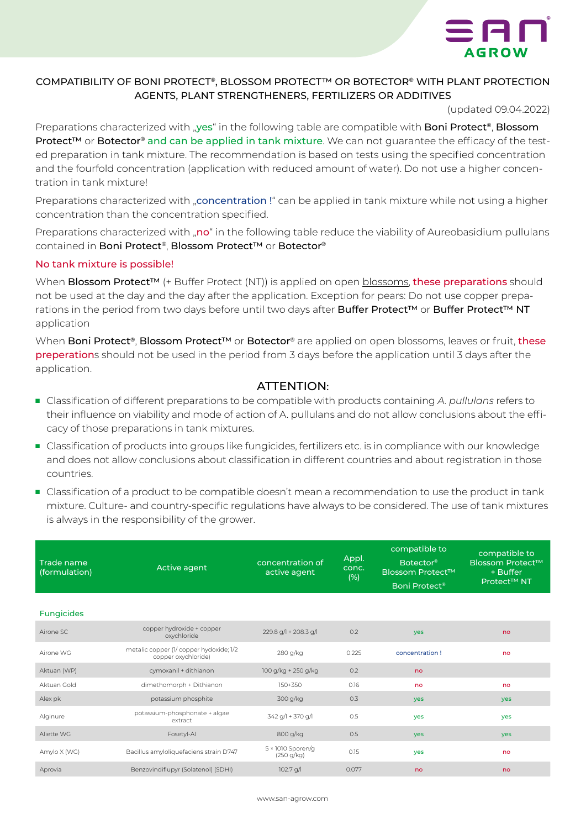

## COMPATIBILITY OF BONI PROTECT®, BLOSSOM PROTECT™ OR BOTECTOR® WITH PLANT PROTECTION AGENTS, PLANT STRENGTHENERS, FERTILIZERS OR ADDITIVES

(updated 09.04.2022)

Preparations characterized with "yes" in the following table are compatible with Boni Protect®, Blossom Protect™ or Botector® and can be applied in tank mixture. We can not guarantee the efficacy of the tested preparation in tank mixture. The recommendation is based on tests using the specified concentration and the fourfold concentration (application with reduced amount of water). Do not use a higher concentration in tank mixture!

Preparations characterized with **..concentration** !" can be applied in tank mixture while not using a higher concentration than the concentration specified.

Preparations characterized with "no" in the following table reduce the viability of Aureobasidium pullulans contained in Boni Protect®, Blossom Protect™ or Botector®

## No tank mixture is possible!

When Blossom Protect™ (+ Buffer Protect (NT)) is applied on open blossoms, these preparations should not be used at the day and the day after the application. Exception for pears: Do not use copper preparations in the period from two days before until two days after Buffer Protect™ or Buffer Protect™ NT application

When Boni Protect®, Blossom Protect™ or Botector® are applied on open blossoms, leaves or fruit, these preperations should not be used in the period from 3 days before the application until 3 days after the application.

## ATTENTION:

- Classification of different preparations to be compatible with products containing *A. pullulans* refers to their influence on viability and mode of action of A. pullulans and do not allow conclusions about the efficacy of those preparations in tank mixtures.
- Classification of products into groups like fungicides, fertilizers etc. is in compliance with our knowledge and does not allow conclusions about classification in different countries and about registration in those countries.
- Classification of a product to be compatible doesn't mean a recommendation to use the product in tank mixture. Culture- and country-specific regulations have always to be considered. The use of tank mixtures is always in the responsibility of the grower.

| Trade name<br>(formulation) | Active agent                                                   | concentration of<br>active agent       | Appl.<br>conc.<br>(%) | compatible to<br>Botector <sup>®</sup><br><b>Blossom Protect™</b><br>Boni Protect <sup>®</sup> | compatible to<br><b>Blossom Protect™</b><br>+ Buffer<br>Protect <sup>™</sup> NT |
|-----------------------------|----------------------------------------------------------------|----------------------------------------|-----------------------|------------------------------------------------------------------------------------------------|---------------------------------------------------------------------------------|
| <b>Fungicides</b>           |                                                                |                                        |                       |                                                                                                |                                                                                 |
| Airone SC                   | copper hydroxide + copper<br>oxychloride                       | 229.8 g/l + 208.3 g/l                  | 0.2                   | <b>yes</b>                                                                                     | no                                                                              |
| Airone WG                   | metalic copper (1/ copper hydoxide; 1/2<br>copper oxychloride) | 280 g/kg                               | 0.225                 | concentration!                                                                                 | no                                                                              |
| Aktuan (WP)                 | cymoxanil + dithianon                                          | 100 g/kg + 250 g/kg                    | 0.2                   | no                                                                                             |                                                                                 |
| Aktuan Gold                 | dimethomorph + Dithianon                                       | 150+350                                | 0.16                  | no                                                                                             | no                                                                              |
| Alex pk                     | potassium phosphite                                            | 300 g/kg                               | 0.3                   | <b>yes</b>                                                                                     | yes                                                                             |
| Alginure                    | potassium-phosphonate + algae<br>extract                       | 342 g/l + 370 g/l                      | 0.5                   | yes                                                                                            | yes                                                                             |
| Aliette WG                  | Fosetyl-Al                                                     | 800 g/kg                               | 0.5                   | <b>yes</b>                                                                                     | <b>yes</b>                                                                      |
| Amylo X (WG)                | Bacillus amyloliquefaciens strain D747                         | $5 \times 1010$ Sporen/g<br>(250 g/kg) | 0.15                  | yes                                                                                            | no                                                                              |
| Aprovia                     | Benzovindiflupyr (Solatenol) (SDHI)                            | $102.7$ g/l                            | 0.077                 | no                                                                                             | no                                                                              |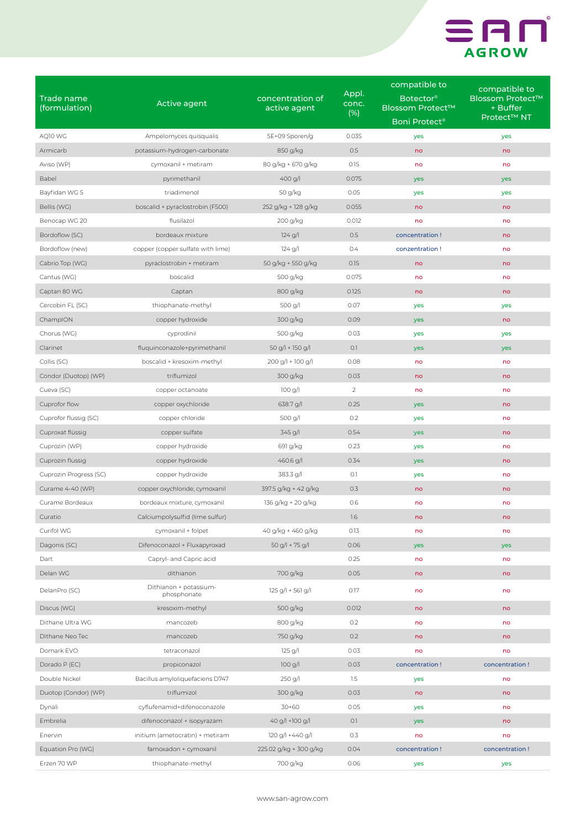

| Trade name<br>(formulation) | Active agent                          | concentration of<br>active agent | Appl.<br>conc.<br>(%) | compatible to<br><b>Botector®</b><br><b>Blossom Protect™</b><br>Boni Protect <sup>®</sup> | compatible to<br><b>Blossom Protect™</b><br>+ Buffer<br>Protect <sup>™</sup> NT |
|-----------------------------|---------------------------------------|----------------------------------|-----------------------|-------------------------------------------------------------------------------------------|---------------------------------------------------------------------------------|
| AQ10 WG                     | Ampelomyces quisqualis                | 5E+09 Sporen/g                   | 0.035                 | yes                                                                                       | yes                                                                             |
| Armicarb                    | potassium-hydrogen-carbonate          | 850 g/kg                         | 0.5                   | no                                                                                        | no                                                                              |
| Aviso (WP)                  | cymoxanil + metiram                   | 80 g/kg + 670 g/kg               | 0.15                  | no                                                                                        | no                                                                              |
| Babel                       | pyrimethanil                          | $400$ g/l                        | 0.075                 | yes                                                                                       | yes                                                                             |
| Bayfidan WG 5               | triadimenol                           | 50 g/kg                          | 0.05                  | yes                                                                                       | yes                                                                             |
| Bellis (WG)                 | boscalid + pyraclostrobin (F500)      | 252 g/kg + 128 g/kg              | 0.055                 | no                                                                                        | no                                                                              |
| Benocap WG 20               | flusilazol                            | 200 g/kg                         | 0.012                 | no                                                                                        | no                                                                              |
| Bordoflow (SC)              | bordeaux mixture                      | $124$ g/l                        | 0.5                   | concentration!                                                                            | no                                                                              |
| Bordoflow (new)             | copper (copper sulfate with lime)     | 124 g/l                          | 0.4                   | conzentration!                                                                            | no                                                                              |
| Cabrio Top (WG)             | pyraclostrobin + metiram              | 50 g/kg + 550 g/kg               | 0.15                  | no                                                                                        | no                                                                              |
| Cantus (WG)                 | boscalid                              | 500 g/kg                         | 0.075                 | no                                                                                        | no                                                                              |
| Captan 80 WG                | Captan                                | 800 g/kg                         | 0.125                 | no                                                                                        | no                                                                              |
| Cercobin FL (SC)            | thiophanate-methyl                    | 500 g/l                          | 0.07                  | yes                                                                                       | yes                                                                             |
| ChampION                    | copper hydroxide                      | 300 g/kg                         | 0.09                  | yes                                                                                       | no                                                                              |
| Chorus (WG)                 | cyprodinil                            | 500 g/kg                         | 0.03                  | yes                                                                                       | yes                                                                             |
| Clarinet                    | fluquinconazole+pyrimethanil          | 50 g/l + 150 g/l                 | O.1                   | yes                                                                                       | yes                                                                             |
| Collis (SC)                 | boscalid + kresoxim-methyl            | 200 g/l + 100 g/l                | 0.08                  | no                                                                                        | no                                                                              |
| Condor (Duotop) (WP)        | triflumizol                           | 300 g/kg                         | 0.03                  | no                                                                                        | no                                                                              |
| Cueva (SC)                  | copper octanoate                      | 100 g/l                          | $\overline{c}$        | no                                                                                        | no                                                                              |
| Cuprofor flow               | copper oxychloride                    | 638.7 g/l                        | 0.25                  | yes                                                                                       | no                                                                              |
| Cuprofor flüssig (SC)       | copper chloride                       | 500 g/l                          | 0.2                   | yes                                                                                       | no                                                                              |
| Cuproxat flüssig            | copper sulfate                        | 345 g/l                          | 0.54                  | yes                                                                                       | no                                                                              |
| Cuprozin (WP)               | copper hydroxide                      | 691 g/kg                         | 0.23                  | yes                                                                                       | no                                                                              |
| Cuprozin flüssig            | copper hydroxide                      | 460.6 g/l                        | 0.34                  | yes                                                                                       | no                                                                              |
| Cuprozin Progress (SC)      | copper hydroxide                      | 383.3 g/l                        | O.1                   | yes                                                                                       | no                                                                              |
| Curame 4-40 (WP)            | copper oxychloride, cymoxanil         | 397.5 g/kg + 42 g/kg             | 0.3                   | no                                                                                        | no                                                                              |
| Curame Bordeaux             | bordeaux mixture, cymoxanil           | 136 g/kg + 20 g/kg               | 0.6                   | no                                                                                        | no                                                                              |
| Curatio                     | Calciumpolysulfid (lime sulfur)       |                                  | 1.6                   | no                                                                                        | no                                                                              |
| Curifol WG                  | cymoxanil + folpet                    | 40 g/kg + 460 g/kg               | 0.13                  | no                                                                                        | no                                                                              |
| Dagonis (SC)                | Difenoconazol + Fluxapyroxad          | $50 g/l + 75 g/l$                | 0.06                  | yes                                                                                       | yes                                                                             |
| Dart                        | Capryl- and Capric acid               |                                  | 0.25                  | no                                                                                        | no                                                                              |
| Delan WG                    | dithianon                             | 700 g/kg                         | 0.05                  | no                                                                                        | no                                                                              |
| DelanPro (SC)               | Dithianon + potassium-<br>phosphonate | $125$ g/l + 561 g/l              | 0.17                  | no                                                                                        | no                                                                              |
| Discus (WG)                 | kresoxim-methyl                       | 500 g/kg                         | 0.012                 | no                                                                                        | no                                                                              |
| Dithane Ultra WG            | mancozeb                              | 800 g/kg                         | 0.2                   | no                                                                                        | no                                                                              |
| Dithane Neo Tec             | mancozeb                              | 750 g/kg                         | 0.2                   | no                                                                                        | no                                                                              |
| Domark EVO                  | tetraconazol                          | 125 g/l                          | 0.03                  | no                                                                                        | no                                                                              |
| Dorado P (EC)               | propiconazol                          | 100 g/l                          | 0.03                  | concentration!                                                                            | concentration!                                                                  |
| Double Nickel               | Bacillus amyloliquefaciens D747       | 250 g/l                          | 1.5                   | yes                                                                                       | no                                                                              |
| Duotop (Condor) (WP)        | triflumizol                           | 300 g/kg                         | 0.03                  | no                                                                                        | no                                                                              |
| Dynali                      | cyflufenamid+difenoconazole           | $30+60$                          | 0.05                  | yes                                                                                       | no                                                                              |
| Embrelia                    | difenoconazol + isopyrazam            | 40 g/l +100 g/l                  | O.1                   | yes                                                                                       | no                                                                              |
| Enervin                     | initium (ametocratin) + metiram       | 120 g/l +440 g/l                 | 0.3                   | no                                                                                        | no                                                                              |
| Equation Pro (WG)           | famoxadon + cymoxanil                 | 225.02 g/kg + 300 g/kg           | 0.04                  | concentration!                                                                            | concentration!                                                                  |
| Erzen 70 WP                 | thiophanate-methyl                    | 700 g/kg                         | 0.06                  | yes                                                                                       | yes                                                                             |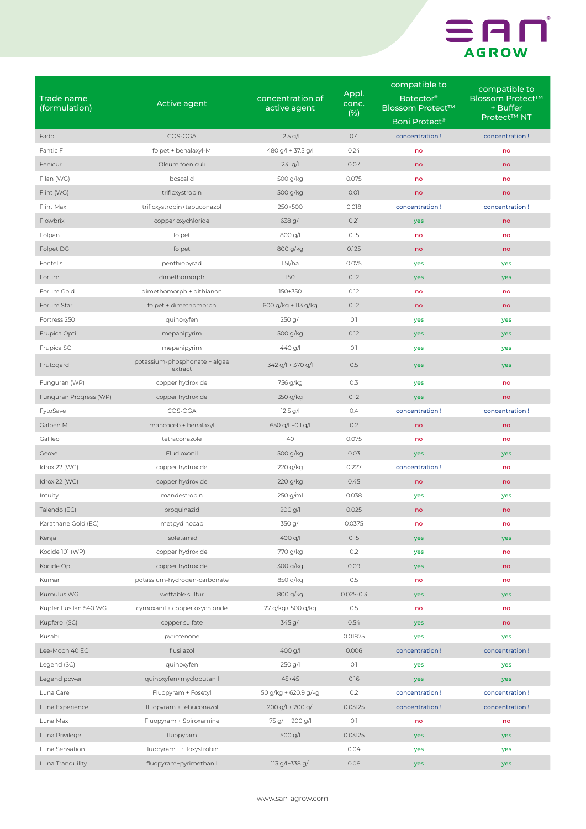

| Trade name<br>(formulation) | Active agent                             | concentration of<br>active agent | Appl.<br>conc.<br>(%) | compatible to<br>Botector®<br><b>Blossom Protect™</b><br>Boni Protect <sup>®</sup> | compatible to<br><b>Blossom Protect™</b><br>+ Buffer<br>Protect™ NT |
|-----------------------------|------------------------------------------|----------------------------------|-----------------------|------------------------------------------------------------------------------------|---------------------------------------------------------------------|
| Fado                        | COS-OGA                                  | $12.5$ g/l                       | 0.4                   | concentration!                                                                     | concentration!                                                      |
| Fantic F                    | folpet + benalaxyl-M                     | 480 g/l + 37.5 g/l               | 0.24                  | no                                                                                 | no                                                                  |
| Fenicur                     | Oleum foeniculi                          | 231 g/l                          | 0.07                  | no                                                                                 | no                                                                  |
| Filan (WG)                  | boscalid                                 | 500 g/kg                         | 0.075                 | no                                                                                 | no                                                                  |
| Flint (WG)                  | trifloxystrobin                          | 500 g/kg                         | 0.01                  | no                                                                                 | no                                                                  |
| Flint Max                   | trifloxystrobin+tebuconazol              | 250+500                          | 0.018                 | concentration!                                                                     | concentration!                                                      |
| Flowbrix                    | copper oxychloride                       | 638 g/l                          | 0.21                  | yes                                                                                | no                                                                  |
| Folpan                      | folpet                                   | 800 g/l                          | 0.15                  | no                                                                                 | no                                                                  |
| Folpet DG                   | folpet                                   | 800 g/kg                         | 0.125                 | no                                                                                 | no                                                                  |
| Fontelis                    | penthiopyrad                             | 1.5I/ha                          | 0.075                 | yes                                                                                | yes                                                                 |
| Forum                       | dimethomorph                             | 150                              | 0.12                  | yes                                                                                | yes                                                                 |
| Forum Gold                  | dimethomorph + dithianon                 | 150+350                          | 0.12                  | no                                                                                 | no                                                                  |
| Forum Star                  | folpet + dimethomorph                    | 600 g/kg + 113 g/kg              | 0.12                  | no                                                                                 | no                                                                  |
| Fortress 250                | quinoxyfen                               | 250 g/l                          | O.1                   | yes                                                                                | yes                                                                 |
| Frupica Opti                | mepanipyrim                              | 500 g/kg                         | 0.12                  | yes                                                                                | yes                                                                 |
| Frupica SC                  | mepanipyrim                              | 440 g/l                          | O.1                   | yes                                                                                | yes                                                                 |
| Frutogard                   | potassium-phosphonate + algae<br>extract | 342 g/l + 370 g/l                | 0.5                   | yes                                                                                | yes                                                                 |
| Funguran (WP)               | copper hydroxide                         | 756 g/kg                         | 0.3                   | yes                                                                                | no                                                                  |
| Funguran Progress (WP)      | copper hydroxide                         | 350 g/kg                         | 0.12                  | yes                                                                                | no                                                                  |
| FytoSave                    | COS-OGA                                  | $12.5$ g/l                       | 0.4                   | concentration!                                                                     | concentration!                                                      |
| Galben M                    | mancoceb + benalaxyl                     | 650 g/l +0.1 g/l                 | 0.2                   | no                                                                                 | no                                                                  |
| Galileo                     | tetraconazole                            | 40                               | 0.075                 | no                                                                                 | no                                                                  |
| Geoxe                       | Fludioxonil                              | 500 g/kg                         | 0.03                  | yes                                                                                | yes                                                                 |
| Idrox 22 (WG)               | copper hydroxide                         | 220 g/kg                         | 0.227                 | concentration!                                                                     | no                                                                  |
| Idrox 22 (WG)               | copper hydroxide                         | 220 g/kg                         | 0.45                  | no                                                                                 | no                                                                  |
| Intuity                     | mandestrobin                             | $250$ g/ml                       | 0.038                 | yes                                                                                | yes                                                                 |
| Talendo (EC)                | proquinazid                              | 200 g/l                          | 0.025                 | no                                                                                 | no                                                                  |
| Karathane Gold (EC)         | metpydinocap                             | 350 g/l                          | 0.0375                | no                                                                                 | no                                                                  |
| Kenja                       | Isofetamid                               | 400 g/l                          | 0.15                  | yes                                                                                | yes                                                                 |
| Kocide 101 (WP)             | copper hydroxide                         | 770 g/kg                         | 0.2                   | yes                                                                                | no                                                                  |
| Kocide Opti                 | copper hydroxide                         | 300 g/kg                         | 0.09                  | yes                                                                                | no                                                                  |
| Kumar                       | potassium-hydrogen-carbonate             | 850 g/kg                         | 0.5                   | no                                                                                 | no                                                                  |
| Kumulus WG                  | wettable sulfur                          | 800 g/kg                         | $0.025 - 0.3$         | yes                                                                                | yes                                                                 |
| Kupfer Fusilan 540 WG       | cymoxanil + copper oxychloride           | 27 g/kg+500 g/kg                 | 0.5                   | no                                                                                 | no                                                                  |
| Kupferol (SC)               | copper sulfate                           | 345 g/l                          | 0.54                  | yes                                                                                | no                                                                  |
| Kusabi                      | pyriofenone                              |                                  | 0.01875               | yes                                                                                | yes                                                                 |
| Lee-Moon 40 EC              | flusilazol                               | 400 g/l                          | 0.006                 | concentration!                                                                     | concentration!                                                      |
| Legend (SC)                 | quinoxyfen                               | 250 g/l                          | 0.1                   | yes                                                                                | yes                                                                 |
| Legend power                | quinoxyfen+myclobutanil                  | $45 + 45$                        | 0.16                  | yes                                                                                | yes                                                                 |
| Luna Care                   | Fluopyram + Fosetyl                      | 50 g/kg + 620.9 g/kg             | 0.2                   | concentration!                                                                     | concentration!                                                      |
| Luna Experience             | fluopyram + tebuconazol                  | $200 g/l + 200 g/l$              | 0.03125               | concentration!                                                                     | concentration!                                                      |
| Luna Max                    | Fluopyram + Spiroxamine                  | 75 g/l + 200 g/l                 | O.1                   | no                                                                                 | no                                                                  |
| Luna Privilege              | fluopyram                                | 500 g/l                          | 0.03125               | yes                                                                                | yes                                                                 |
| Luna Sensation              | fluopyram+trifloxystrobin                |                                  | 0.04                  | yes                                                                                | yes                                                                 |
| Luna Tranquility            | fluopyram+pyrimethanil                   | 113 g/l+338 g/l                  | 0.08                  | yes                                                                                | yes                                                                 |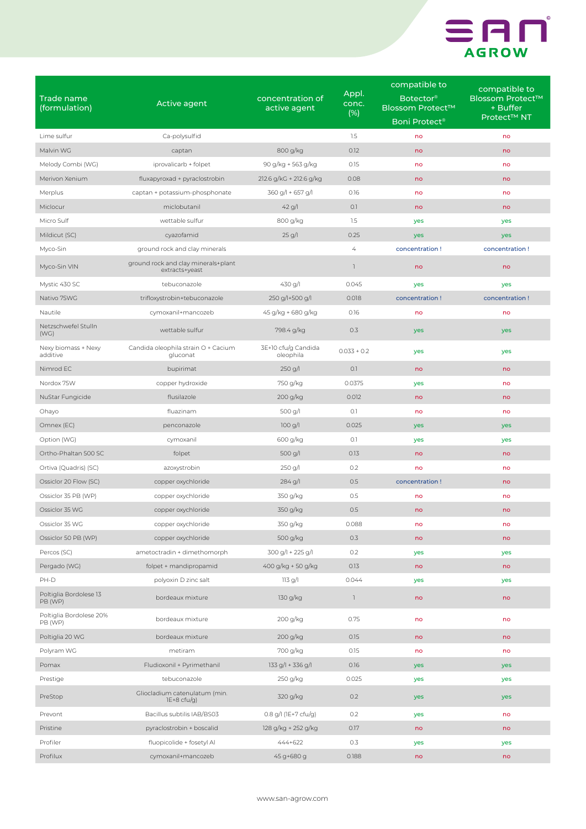

| <b>Trade name</b>                  |                                                       | concentration of                 | Appl.                     | compatible to                                    | compatible to<br><b>Blossom Protect™</b> |
|------------------------------------|-------------------------------------------------------|----------------------------------|---------------------------|--------------------------------------------------|------------------------------------------|
| (formulation)                      | Active agent                                          | active agent                     | conc.<br>(%)              | Botector <sup>®</sup><br><b>Blossom Protect™</b> | + Buffer<br>Protect <sup>™</sup> NT      |
|                                    |                                                       |                                  |                           | Boni Protect <sup>®</sup>                        |                                          |
| Lime sulfur                        | Ca-polysulfid                                         |                                  | 1.5                       | no                                               | no                                       |
| Malvin WG                          | captan                                                | 800 g/kg                         | 0.12                      | no                                               | no                                       |
| Melody Combi (WG)                  | iprovalicarb + folpet                                 | 90 g/kg + 563 g/kg               | 0.15                      | no                                               | no                                       |
| Merivon Xenium                     | fluxapyroxad + pyraclostrobin                         | 212.6 g/kG + 212.6 g/kg          | 0.08                      | no                                               | no                                       |
| Merplus                            | captan + potassium-phosphonate                        | 360 g/l + 657 g/l                | 0.16                      | no                                               | no                                       |
| Miclocur                           | miclobutanil                                          | 42 g/l                           | O.1                       | no                                               | no                                       |
| Micro Sulf                         | wettable sulfur                                       | 800 g/kg                         | 1.5                       | yes                                              | yes                                      |
| Mildicut (SC)                      | cyazofamid                                            | 25 g/l                           | 0.25                      | yes                                              | yes                                      |
| Myco-Sin                           | ground rock and clay minerals                         |                                  | $\overline{4}$            | concentration!                                   | concentration!                           |
| Myco-Sin VIN                       | ground rock and clay minerals+plant<br>extracts+yeast |                                  | $\mathbb{I}$              | no                                               | no                                       |
| Mystic 430 SC                      | tebuconazole                                          | 430 g/l                          | 0.045                     | yes                                              | yes                                      |
| Nativo 75WG                        | trifloxystrobin+tebuconazole                          | 250 g/l+500 g/l                  | 0.018                     | concentration!                                   | concentration!                           |
| Nautile                            | cymoxanil+mancozeb                                    | 45 g/kg + 680 g/kg               | 0.16                      | no                                               | no                                       |
| Netzschwefel Stulln<br>(WG)        | wettable sulfur                                       | 798.4 g/kg                       | 0.3                       | yes                                              | yes                                      |
| Nexy biomass + Nexy<br>additive    | Candida oleophila strain O + Cacium<br>gluconat       | 3E+10 cfu/g Candida<br>oleophila | $0.033 + 0.2$             | yes                                              | yes                                      |
| Nimrod EC                          | bupirimat                                             | $250$ g/l                        | O.1                       | no                                               | no                                       |
| Nordox 75W                         | copper hydroxide                                      | 750 g/kg                         | 0.0375                    | yes                                              | no                                       |
| NuStar Fungicide                   | flusilazole                                           | 200 g/kg                         | 0.012                     | no                                               | no                                       |
| Ohayo                              | fluazinam                                             | 500 g/l                          | O.1                       | no                                               | no                                       |
| Omnex (EC)                         | penconazole                                           | 100 g/l                          | 0.025                     | yes                                              | yes                                      |
| Option (WG)                        | cymoxanil                                             | 600 g/kg                         | O.1                       | yes                                              | yes                                      |
| Ortho-Phaltan 500 SC               | folpet                                                | 500 g/l                          | 0.13                      | no                                               | no                                       |
| Ortiva (Quadris) (SC)              | azoxystrobin                                          | 250 g/l                          | 0.2                       | no                                               | no                                       |
| Ossiclor 20 Flow (SC)              | copper oxychloride                                    | $284$ g/l                        | 0.5                       | concentration!                                   | no                                       |
| Ossiclor 35 PB (WP)                | copper oxychloride                                    | 350 g/kg                         | 0.5                       | no                                               | no                                       |
| Ossiclor 35 WG                     | copper oxychloride                                    | 350 g/kg                         | 0.5                       | no                                               | no                                       |
| Ossiclor 35 WG                     | copper oxychloride                                    | 350 g/kg                         | 0.088                     | no                                               | no                                       |
| Ossiclor 50 PB (WP)                | copper oxychloride                                    | 500 g/kg                         | 0.3                       | no                                               | no                                       |
| Percos (SC)                        | ametoctradin + dimethomorph                           | 300 g/l + 225 g/l                | 0.2                       | yes                                              | yes                                      |
| Pergado (WG)                       | folpet + mandipropamid                                | 400 g/kg + 50 g/kg               | 0.13                      | no                                               | no                                       |
| PH-D                               | polyoxin D zinc salt                                  | $113$ g/l                        | 0.044                     | yes                                              | yes                                      |
| Poltiglia Bordolese 13<br>PB (WP)  | bordeaux mixture                                      | 130 g/kg                         | $\ensuremath{\mathsf{1}}$ | no                                               | no                                       |
| Poltiglia Bordolese 20%<br>PB (WP) | bordeaux mixture                                      | 200 g/kg                         | 0.75                      | no                                               | no                                       |
| Poltiglia 20 WG                    | bordeaux mixture                                      | 200 g/kg                         | 0.15                      | no                                               | no                                       |
| Polyram WG                         | metiram                                               | 700 g/kg                         | 0.15                      | no                                               | no                                       |
| Pomax                              | Fludioxonil + Pyrimethanil                            | 133 g/l + 336 g/l                | 0.16                      | yes                                              | yes                                      |
| Prestige                           | tebuconazole                                          | 250 g/kg                         | 0.025                     | yes                                              | yes                                      |
| PreStop                            | Gliocladium catenulatum (min.<br>$1E+8$ cfu/g)        | 320 g/kg                         | 0.2                       | yes                                              | yes                                      |
| Prevont                            | Bacillus subtilis IAB/BS03                            | 0.8 g/l (1E+7 cfu/g)             | 0.2                       | yes                                              | no                                       |
| Pristine                           | pyraclostrobin + boscalid                             | 128 g/kg + 252 g/kg              | 0.17                      | no                                               | no                                       |
| Profiler                           | fluopicolide + fosetyl Al                             | 444+622                          | 0.3                       | yes                                              | yes                                      |
| Profilux                           | cymoxanil+mancozeb                                    | 45 g+680 g                       | 0.188                     | no                                               | no                                       |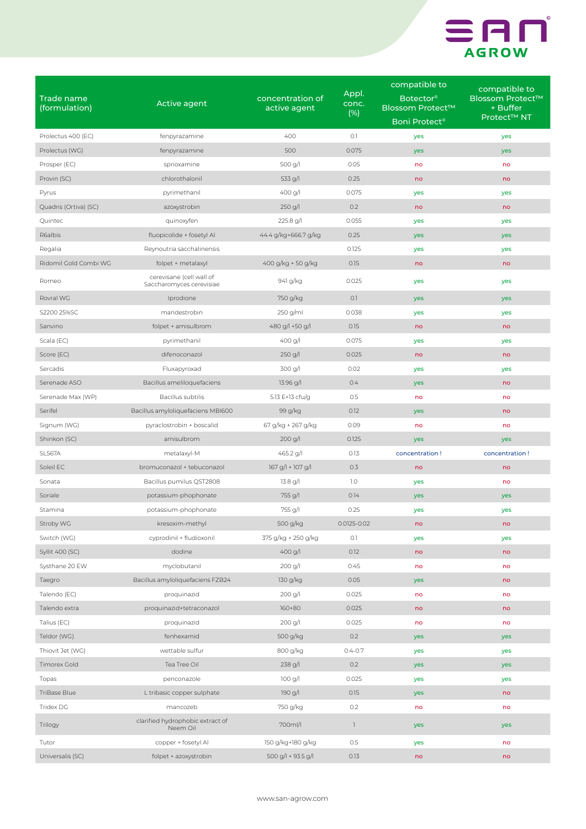

| Trade name<br>(formulation) | Active agent                                         | concentration of<br>active agent | Appl.<br>conc.<br>(%) | compatible to<br><b>Botector®</b><br>Blossom Protect™<br>Boni Protect <sup>®</sup> | compatible to<br><b>Blossom Protect™</b><br>+ Buffer<br>Protect <sup>™</sup> NT |
|-----------------------------|------------------------------------------------------|----------------------------------|-----------------------|------------------------------------------------------------------------------------|---------------------------------------------------------------------------------|
| Prolectus 400 (EC)          | fenpyrazamine                                        | 400                              | O.1                   | yes                                                                                | yes                                                                             |
| Prolectus (WG)              | fenpyrazamine                                        | 500                              | 0.075                 | yes                                                                                | yes                                                                             |
| Prosper (EC)                | sprioxamine                                          | 500 g/l                          | 0.05                  | no                                                                                 | no                                                                              |
| Provin (SC)                 | chlorothalonil                                       | 533 g/l                          | 0.25                  | no                                                                                 | no                                                                              |
| Pyrus                       | pyrimethanil                                         | 400 g/l                          | 0.075                 | yes                                                                                | yes                                                                             |
| Quadris (Ortiva) (SC)       | azoxystrobin                                         | $250$ g/l                        | 0.2                   | no                                                                                 | no                                                                              |
| Quintec                     | quinoxyfen                                           | 225.8 g/l                        | 0.055                 | yes                                                                                | yes                                                                             |
| R6albis                     | fluopicolide + fosetyl Al                            | 44.4 g/kg+666.7 g/kg             | 0.25                  | yes                                                                                | yes                                                                             |
| Regalia                     | Reynoutria sacchalinensis                            |                                  | 0.125                 | yes                                                                                | yes                                                                             |
| Ridomil Gold Combi WG       | folpet + metalaxyl                                   | 400 g/kg + 50 g/kg               | 0.15                  | no                                                                                 | no                                                                              |
| Romeo                       | cerevisane (cell wall of<br>Saccharomyces cerevisiae | 941 g/kg                         | 0.025                 | yes                                                                                | yes                                                                             |
| Rovral WG                   | Iprodione                                            | 750 g/kg                         | O.1                   | yes                                                                                | yes                                                                             |
| S2200 25%SC                 | mandestrobin                                         | 250 g/ml                         | 0.038                 | yes                                                                                | yes                                                                             |
| Sanvino                     | folpet + amisulbrom                                  | 480 g/l +50 g/l                  | 0.15                  | no                                                                                 | no                                                                              |
| Scala (EC)                  | pyrimethanil                                         | 400 g/l                          | 0.075                 | yes                                                                                | yes                                                                             |
| Score (EC)                  | difenoconazol                                        | $250$ g/l                        | 0.025                 | no                                                                                 | no                                                                              |
| Sercadis                    | Fluxapyroxad                                         | 300 g/l                          | 0.02                  | yes                                                                                | yes                                                                             |
| Serenade ASO                | Bacillus ameliloquefaciens                           | $13.96$ g/l                      | 0.4                   | yes                                                                                | no                                                                              |
| Serenade Max (WP)           | Bacillus subtilis                                    | 5.13 E+13 cfu/g                  | 0.5                   | no                                                                                 | no                                                                              |
| Serifel                     | Bacillus amyloliquefaciens MBI600                    | 99 g/kg                          | 0.12                  | yes                                                                                | no                                                                              |
| Signum (WG)                 | pyraclostrobin + boscalid                            | 67 g/kg + 267 g/kg               | 0.09                  | no                                                                                 | no                                                                              |
| Shinkon (SC)                | amisulbrom                                           | 200 g/l                          | 0.125                 | yes                                                                                | yes                                                                             |
| <b>SL567A</b>               | metalaxyl-M                                          | 465.2 g/l                        | 0.13                  | concentration!                                                                     | concentration!                                                                  |
| Soleil EC                   | bromuconazol + tebuconazol                           | $167$ g/l + $107$ g/l            | 0.3                   | no                                                                                 | no                                                                              |
| Sonata                      | Bacillus pumilus QST2808                             | 13.8 g/l                         | 1.0                   | yes                                                                                | no                                                                              |
| Soriale                     | potassium-phophonate                                 | 755 g/l                          | 0.14                  | yes                                                                                | yes                                                                             |
| Stamina                     | potassium-phophonate                                 | 755 g/l                          | 0.25                  | yes                                                                                | yes                                                                             |
| Stroby WG                   | kresoxim-methyl                                      | 500 g/kg                         | 0.0125-0.02           | no                                                                                 | no                                                                              |
| Switch (WG)                 | cyprodinil + fludioxonil                             | 375 g/kg + 250 g/kg              | 0.1                   | yes                                                                                | yes                                                                             |
| Syllit 400 (SC)             | dodine                                               | $400$ g/l                        | 0.12                  | no                                                                                 | no                                                                              |
| Systhane 20 EW              | myclobutanil                                         | 200 g/l                          | 0.45                  | no                                                                                 | no                                                                              |
| Taegro                      | Bacillus amyloliquefaciens FZB24                     | 130 g/kg                         | 0.05                  | yes                                                                                | no                                                                              |
| Talendo (EC)                | proquinazid                                          | 200 g/l                          | 0.025                 | no                                                                                 | no                                                                              |
| Talendo extra               | proquinazid+tetraconazol                             | 160+80                           | 0.025                 | no                                                                                 | no                                                                              |
| Talius (EC)                 | proquinazid                                          | 200 g/l                          | 0.025                 | no                                                                                 | no                                                                              |
| Teldor (WG)                 | fenhexamid                                           | 500 g/kg                         | 0.2                   | yes                                                                                | yes                                                                             |
| Thiovit Jet (WG)            | wettable sulfur                                      | 800 g/kg                         | $0.4 - 0.7$           | yes                                                                                | yes                                                                             |
| <b>Timorex Gold</b>         | Tea Tree Oil                                         | 238 g/l                          | 0.2                   | yes                                                                                | yes                                                                             |
| Topas                       | penconazole                                          | 100 g/l                          | 0.025                 | yes                                                                                | yes                                                                             |
| TriBase Blue                | L tribasic copper sulphate                           | 190 g/l                          | 0.15                  | yes                                                                                | no                                                                              |
| Tridex DG                   | mancozeb                                             | 750 g/kg                         | 0.2                   | no                                                                                 | no                                                                              |
| Trilogy                     | clarified hydrophobic extract of<br>Neem Oil         | 700ml/l                          | $\mathbb{I}$          | yes                                                                                | yes                                                                             |
| Tutor                       | copper + fosetyl Al                                  | 150 g/kg+180 g/kg                | 0.5                   | yes                                                                                | no                                                                              |
| Universalis (SC)            | folpet + azoxystrobin                                | 500 g/l + 93.5 g/l               | 0.13                  | no                                                                                 | no                                                                              |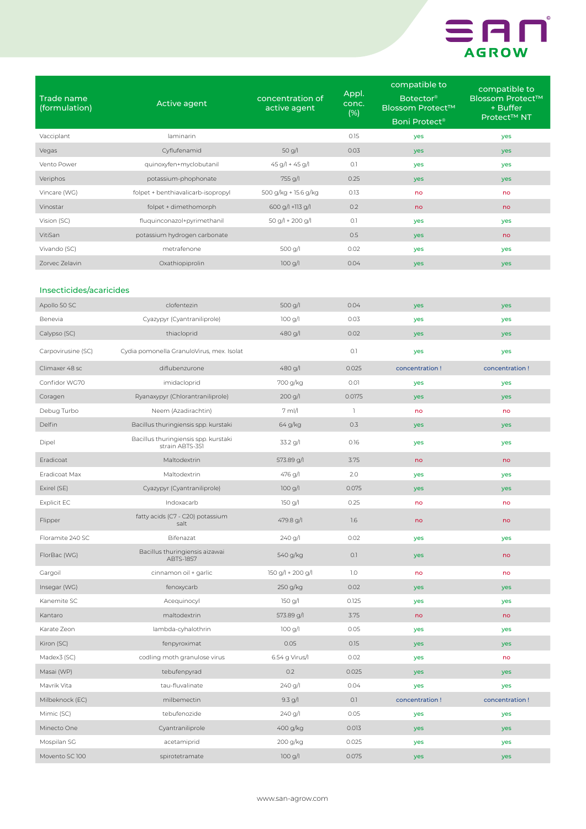

| Trade name<br>(formulation) | Active agent                                            | concentration of<br>active agent | Appl.<br>conc.<br>(%) | compatible to<br><b>Botector®</b><br>Blossom Protect™<br>Boni Protect <sup>®</sup> | compatible to<br><b>Blossom Protect™</b><br>+ Buffer<br>Protect™ NT |
|-----------------------------|---------------------------------------------------------|----------------------------------|-----------------------|------------------------------------------------------------------------------------|---------------------------------------------------------------------|
| Vacciplant                  | laminarin                                               |                                  | 0.15                  | yes                                                                                | yes                                                                 |
| Vegas                       | Cyflufenamid                                            | 50 g/l                           | 0.03                  | yes                                                                                | yes                                                                 |
| Vento Power                 | quinoxyfen+myclobutanil                                 | $45 g/l + 45 g/l$                | O.1                   | yes                                                                                | yes                                                                 |
| Veriphos                    | potassium-phophonate                                    | 755 g/l                          | 0.25                  | yes                                                                                | yes                                                                 |
| Vincare (WG)                | folpet + benthiavalicarb-isopropyl                      | 500 g/kg + 15.6 g/kg             | 0.13                  | no                                                                                 | no                                                                  |
| Vinostar                    | folpet + dimethomorph                                   | 600 g/l +113 g/l                 | 0.2                   | no                                                                                 | no                                                                  |
| Vision (SC)                 | fluquinconazol+pyrimethanil                             | 50 g/l + 200 g/l                 | O.1                   | yes                                                                                | yes                                                                 |
| VitiSan                     | potassium hydrogen carbonate                            |                                  | 0.5                   | yes                                                                                | no                                                                  |
| Vivando (SC)                | metrafenone                                             | 500 g/l                          | 0.02                  | yes                                                                                | yes                                                                 |
| Zorvec Zelavin              | Oxathiopiprolin                                         | 100 g/l                          | 0.04                  | yes                                                                                | yes                                                                 |
| Insecticides/acaricides     |                                                         |                                  |                       |                                                                                    |                                                                     |
| Apollo 50 SC                | clofentezin                                             | 500 g/l                          | 0.04                  | yes                                                                                | yes                                                                 |
| Benevia                     | Cyazypyr (Cyantraniliprole)                             | 100 g/l                          | 0.03                  | yes                                                                                | yes                                                                 |
| Calypso (SC)                | thiacloprid                                             | 480 g/l                          | 0.02                  | yes                                                                                | yes                                                                 |
| Carpovirusine (SC)          | Cydia pomonella GranuloVirus, mex. Isolat               |                                  | O.1                   | yes                                                                                | yes                                                                 |
| Climaxer 48 sc              | diflubenzurone                                          | 480 g/l                          | 0.025                 | concentration!                                                                     | concentration!                                                      |
| Confidor WG70               | imidacloprid                                            | 700 g/kg                         | 0.01                  | yes                                                                                | yes                                                                 |
| Coragen                     | Ryanaxypyr (Chlorantraniliprole)                        | 200 g/l                          | 0.0175                | yes                                                                                | yes                                                                 |
| Debug Turbo                 | Neem (Azadirachtin)                                     | 7 ml/l                           | $\mathbb{I}$          | no                                                                                 | no                                                                  |
| Delfin                      | Bacillus thuringiensis spp. kurstaki                    | 64 g/kg                          | 0.3                   | yes                                                                                | yes                                                                 |
| Dipel                       | Bacillus thuringiensis spp. kurstaki<br>strain ABTS-351 | 33.2 g/l                         | 0.16                  | yes                                                                                | yes                                                                 |
| Eradicoat                   | Maltodextrin                                            | 573.89 g/l                       | 3.75                  | no                                                                                 | no                                                                  |
| Eradicoat Max               | Maltodextrin                                            | 476 g/l                          | 2.0                   | yes                                                                                | yes                                                                 |
| Exirel (SE)                 | Cyazypyr (Cyantraniliprole)                             | 100 g/l                          | 0.075                 | yes                                                                                | yes                                                                 |
| <b>Explicit EC</b>          | Indoxacarb                                              | $150$ g/l                        | 0.25                  | no                                                                                 | no                                                                  |
| Flipper                     | fatty acids (C7 - C20) potassium<br>salt                | 479.8 g/l                        | 1.6                   | no                                                                                 | no                                                                  |
| Floramite 240 SC            | Bifenazat                                               | 240 g/l                          | 0.02                  | yes                                                                                | yes                                                                 |
| FlorBac (WG)                | Bacillus thuringiensis aizawai<br>ABTS-1857             | 540 g/kg                         | O.1                   | yes                                                                                | no                                                                  |
| Gargoil                     | cinnamon oil + garlic                                   | $150 g/l + 200 g/l$              | 1.0                   | no                                                                                 | no                                                                  |
| Insegar (WG)                | fenoxycarb                                              | 250 g/kg                         | 0.02                  | yes                                                                                | yes                                                                 |
| Kanemite SC                 | Acequinocyl                                             | 150 g/l                          | 0.125                 | yes                                                                                | yes                                                                 |
| Kantaro                     | maltodextrin                                            | 573.89 g/l                       | 3.75                  | no                                                                                 | no                                                                  |
| Karate Zeon                 | lambda-cyhalothrin                                      | $100$ g/l                        | 0.05                  | yes                                                                                | yes                                                                 |
| Kiron (SC)                  | fenpyroximat                                            | 0.05                             | 0.15                  | yes                                                                                | yes                                                                 |
| Madex3 (SC)                 | codling moth granulose virus                            | 6.54 g Virus/I                   | 0.02                  | yes                                                                                | no                                                                  |
| Masai (WP)                  | tebufenpyrad                                            | 0.2                              | 0.025                 | yes                                                                                | yes                                                                 |
| Mavrik Vita                 | tau-fluvalinate                                         | 240 g/l                          | 0.04                  | yes                                                                                | yes                                                                 |
| Milbeknock (EC)             | milbemectin                                             | $9.3$ g/l                        | 0.1                   | concentration!                                                                     | concentration!                                                      |
| Mimic (SC)                  | tebufenozide                                            | 240 g/l                          | 0.05                  | yes                                                                                | yes                                                                 |
| Minecto One                 | Cyantraniliprole                                        | 400 g/kg                         | 0.013                 | yes                                                                                | yes                                                                 |
| Mospilan SG                 | acetamiprid                                             | 200 g/kg                         | 0.025                 | yes                                                                                | yes                                                                 |
| Movento SC 100              | spirotetramate                                          | 100 g/l                          | 0.075                 | yes                                                                                | yes                                                                 |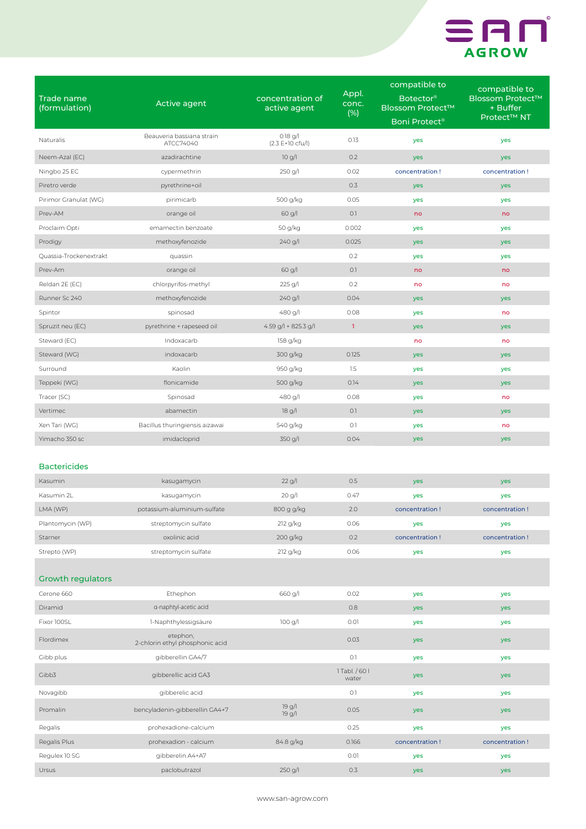

| Trade name<br>(formulation) | Active agent                                | concentration of<br>active agent | Appl.<br>conc.<br>(%)   | compatible to<br><b>Botector®</b><br><b>Blossom Protect™</b><br>Boni Protect <sup>®</sup> | compatible to<br><b>Blossom Protect™</b><br>+ Buffer<br>Protect™ NT |
|-----------------------------|---------------------------------------------|----------------------------------|-------------------------|-------------------------------------------------------------------------------------------|---------------------------------------------------------------------|
| Naturalis                   | Beauveria bassiana strain<br>ATCC74040      | $0.18$ g/l<br>$(2.3 E+10 cfu/l)$ | 0.13                    | yes                                                                                       | yes                                                                 |
| Neem-Azal (EC)              | azadirachtine                               | $10$ g/l                         | 0.2                     | yes                                                                                       | yes                                                                 |
| Ningbo 25 EC                | cypermethrin                                | 250 g/l                          | 0.02                    | concentration!                                                                            | concentration!                                                      |
| Piretro verde               | pyrethrine+oil                              |                                  | 0.3                     | yes                                                                                       | yes                                                                 |
| Pirimor Granulat (WG)       | pirimicarb                                  | 500 g/kg                         | 0.05                    | yes                                                                                       | yes                                                                 |
| Prev-AM                     | orange oil                                  | $60$ g/l                         | O.1                     | no                                                                                        | no                                                                  |
| Proclaim Opti               | emamectin benzoate                          | 50 g/kg                          | 0.002                   | yes                                                                                       | yes                                                                 |
| Prodigy                     | methoxyfenozide                             | 240 g/l                          | 0.025                   | yes                                                                                       | yes                                                                 |
| Quassia-Trockenextrakt      | quassin                                     |                                  | 0.2                     | yes                                                                                       | yes                                                                 |
| Prev-Am                     | orange oil                                  | $60$ g/l                         | O.1                     | no                                                                                        | no                                                                  |
| Reldan 2E (EC)              | chlorpyrifos-methyl                         | 225 g/l                          | 0.2                     | no                                                                                        | no                                                                  |
| Runner Sc 240               | methoxyfenozide                             | 240 g/l                          | 0.04                    | yes                                                                                       | yes                                                                 |
| Spintor                     | spinosad                                    | 480 g/l                          | 0.08                    | yes                                                                                       | no                                                                  |
| Spruzit neu (EC)            | pyrethrine + rapeseed oil                   | 4.59 g/l + 825.3 g/l             | $\mathbf{I}$            | yes                                                                                       | yes                                                                 |
| Steward (EC)                | Indoxacarb                                  | 158 g/kg                         |                         | no                                                                                        | no                                                                  |
| Steward (WG)                | indoxacarb                                  | 300 g/kg                         | 0.125                   | yes                                                                                       | yes                                                                 |
| Surround                    | Kaolin                                      | 950 g/kg                         | 1.5                     | yes                                                                                       | yes                                                                 |
| Teppeki (WG)                | flonicamide                                 | 500 g/kg                         | 0.14                    | yes                                                                                       | yes                                                                 |
| Tracer (SC)                 | Spinosad                                    | 480 g/l                          | 0.08                    | yes                                                                                       | no                                                                  |
| Vertimec                    | abamectin                                   | 18 g/l                           | O.1                     | yes                                                                                       | yes                                                                 |
| Xen Tari (WG)               | Bacillus thuringiensis aizawai              | 540 g/kg                         | O.1                     | yes                                                                                       | no                                                                  |
| Yimacho 350 sc              | imidacloprid                                | 350 g/l                          | 0.04                    | yes                                                                                       | yes                                                                 |
| <b>Bactericides</b>         |                                             |                                  |                         |                                                                                           |                                                                     |
| Kasumin                     | kasugamycin                                 | 22 g/l                           | 0.5                     | yes                                                                                       | yes                                                                 |
| Kasumin 2L                  | kasugamycin                                 | 20 g/l                           | 0.47                    | yes                                                                                       | yes                                                                 |
| LMA (WP)                    | potassium-aluminium-sulfate                 | 800 g g/kg                       | 2.0                     | concentration!                                                                            | concentration!                                                      |
| Plantomycin (WP)            | streptomycin sulfate                        | 212 g/kg                         | 0.06                    | yes                                                                                       | yes                                                                 |
| Starner                     | oxolinic acid                               | 200 g/kg                         | 0.2                     | concentration!                                                                            | concentration!                                                      |
| Strepto (WP)                | streptomycin sulfate                        | 212 g/kg                         | 0.06                    | yes                                                                                       | yes                                                                 |
| <b>Growth regulators</b>    |                                             |                                  |                         |                                                                                           |                                                                     |
| Cerone 660                  | Ethephon                                    | 660 g/l                          | 0.02                    | yes                                                                                       | yes                                                                 |
| Diramid                     | a-naphtyl-acetic acid                       |                                  | 0.8                     | yes                                                                                       | yes                                                                 |
| Fixor 100SL                 | 1-Naphthylessigsäure                        | 100 g/l                          | 0.01                    | yes                                                                                       | yes                                                                 |
| Flordimex                   | etephon.<br>2-chlorin ethyl phosphonic acid |                                  | 0.03                    | yes                                                                                       | yes                                                                 |
| Gibb plus                   | gibberellin GA4/7                           |                                  | O.1                     | yes                                                                                       | yes                                                                 |
| Gibb3                       | gibberellic acid GA3                        |                                  | 1 Tabl. / 60 I<br>water | yes                                                                                       | yes                                                                 |
| Novagibb                    | gibberelic acid                             |                                  | O.1                     | yes                                                                                       | yes                                                                 |
| Promalin                    | bencyladenin-gibberellin GA4+7              | 19 g/l<br>19 g/l                 | 0.05                    | yes                                                                                       | yes                                                                 |
| Regalis                     | prohexadione-calcium                        |                                  | 0.25                    | yes                                                                                       | yes                                                                 |
| Regalis Plus                | prohexadion - calcium                       | 84.8 g/kg                        | 0.166                   | concentration!                                                                            | concentration!                                                      |
| Regulex 10 SG               | gibberelin A4+A7                            |                                  | 0.01                    | yes                                                                                       | yes                                                                 |
| Ursus                       | paclobutrazol                               | 250 g/l                          | 0.3                     | yes                                                                                       | yes                                                                 |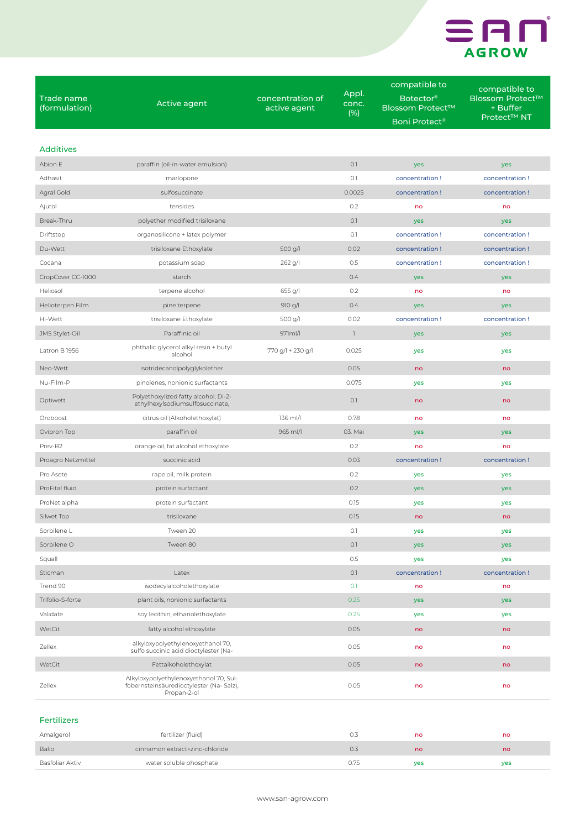

| Trade name            | Active agent                                                                                     | concentration of  | Appl.<br>conc. | compatible to<br>Botector <sup>®</sup>               | compatible to<br><b>Blossom Protect™</b> |
|-----------------------|--------------------------------------------------------------------------------------------------|-------------------|----------------|------------------------------------------------------|------------------------------------------|
| (formulation)         |                                                                                                  | active agent      | (%)            | <b>Blossom Protect™</b><br>Boni Protect <sup>®</sup> | + Buffer<br>Protect™ NT                  |
|                       |                                                                                                  |                   |                |                                                      |                                          |
| <b>Additives</b>      |                                                                                                  |                   |                |                                                      |                                          |
| Abion E               | paraffin (oil-in-water emulsion)                                                                 |                   | O.1            | yes                                                  | yes                                      |
| Adhäsit               | marlopone                                                                                        |                   | O.1            | concentration!                                       | concentration!                           |
| Agral Gold            | sulfosuccinate                                                                                   |                   | 0.0025         | concentration!                                       | concentration!                           |
| Ajutol                | tensides                                                                                         |                   | 0.2            | no                                                   | no                                       |
| Break-Thru            | polyether modified trisiloxane                                                                   |                   | O.1            | yes                                                  | yes                                      |
| Driftstop             | organosilicone + latex polymer                                                                   |                   | O.1            | concentration!                                       | concentration!                           |
| Du-Wett               | trisiloxane Ethoxylate                                                                           | 500 g/l           | 0.02           | concentration!                                       | concentration!                           |
| Cocana                | potassium soap                                                                                   | $262$ g/l         | 0.5            | concentration!                                       | concentration!                           |
| CropCover CC-1000     | starch                                                                                           |                   | 0.4            | yes                                                  | yes                                      |
| Heliosol              | terpene alcohol                                                                                  | 655 g/l           | 0.2            | no                                                   | no                                       |
| Helioterpen Film      | pine terpene                                                                                     | 910 g/l           | 0.4            | yes                                                  | yes                                      |
| Hi-Wett               | trisiloxane Ethoxylate                                                                           | 500 $g/l$         | 0.02           | concentration!                                       | concentration!                           |
| <b>JMS Stylet-Oil</b> | Paraffinic oil                                                                                   | 971ml/l           | 1              | yes                                                  | yes                                      |
| Latron B 1956         | phthalic glycerol alkyl resin + butyl<br>alcohol                                                 | 770 g/l + 230 g/l | 0.025          | yes                                                  | yes                                      |
| Neo-Wett              | isotridecanolpolyglykolether                                                                     |                   | 0.05           | no                                                   | no                                       |
| Nu-Film-P             | pinolenes, nonionic surfactants                                                                  |                   | 0.075          | yes                                                  | yes                                      |
| Optiwett              | Polyethoxylized fatty alcohol, Di-2-<br>ethylhexylsodiumsulfosuccinate,                          |                   | O.1            | no                                                   | no                                       |
| Oroboost              | citrus oil (Alkoholethoxylat)                                                                    | 136 ml/l          | 0.78           | no                                                   | no                                       |
| Ovipron Top           | paraffin oil                                                                                     | 965 ml/l          | 03. Mai        | yes                                                  | yes                                      |
| Prev-B2               | orange oil, fat alcohol ethoxylate                                                               |                   | 0.2            | no                                                   | no                                       |
| Proagro Netzmittel    | succinic acid                                                                                    |                   | 0.03           | concentration!                                       | concentration!                           |
| Pro Asete             | rape oil, milk protein                                                                           |                   | 0.2            | yes                                                  | yes                                      |
| ProFital fluid        | protein surfactant                                                                               |                   | 0.2            | yes                                                  | yes                                      |
| ProNet alpha          | protein surfactant                                                                               |                   | 0.15           | yes                                                  | yes                                      |
| Silwet Top            | trisiloxane                                                                                      |                   | 0.15           | no                                                   | no                                       |
| Sorbilene L           | Tween 20                                                                                         |                   | O.1            | yes                                                  | yes                                      |
| Sorbilene O           | Tween 80                                                                                         |                   | O.1            | yes                                                  | yes                                      |
| Squall                |                                                                                                  |                   | 0.5            | yes                                                  | yes                                      |
| Sticman               | Latex                                                                                            |                   | O.1            | concentration!                                       | concentration!                           |
| Trend 90              | isodecylalcoholethoxylate                                                                        |                   | O.1            | no                                                   | no                                       |
| Trifolio-S-forte      | plant oils, nonionic surfactants                                                                 |                   | 0.25           | yes                                                  | yes                                      |
| Validate              | soy lecithin, ethanolethoxylate                                                                  |                   | 0.25           | yes                                                  | yes                                      |
| WetCit                | fatty alcohol ethoxylate                                                                         |                   | 0.05           | no                                                   | no                                       |
| Zellex                | alkyloxypolyethylenoxyethanol 70,<br>sulfo succinic acid dioctylester (Na-                       |                   | 0.05           | no                                                   | no                                       |
| WetCit                | Fettalkoholethoxylat                                                                             |                   | 0.05           | no                                                   | no                                       |
| Zellex                | Alkyloxypolyethylenoxyethanol 70, Sul-<br>fobernsteinsäuredioctylester (Na-Salz),<br>Propan-2-ol |                   | 0.05           | no                                                   | no                                       |
| Fertilizers           |                                                                                                  |                   |                |                                                      |                                          |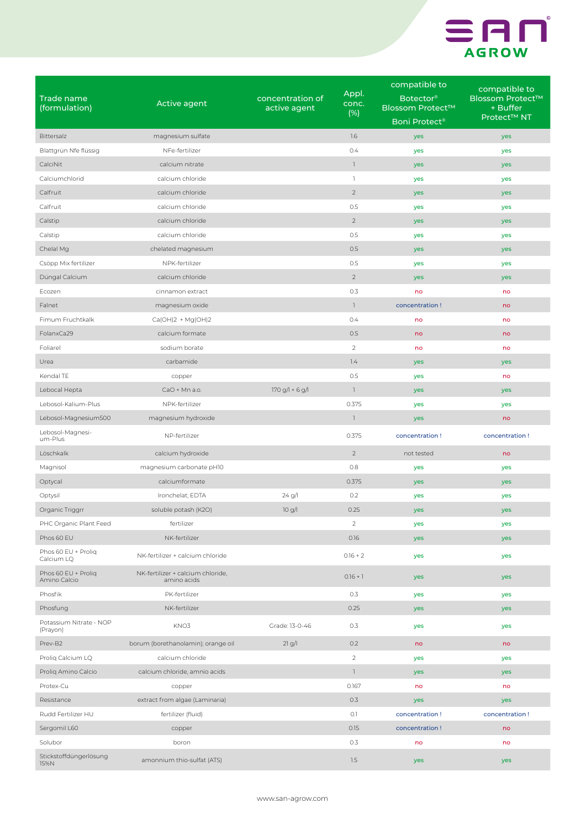

| Trade name<br>(formulation)         | Active agent                                     | concentration of<br>active agent | Appl.<br>conc.<br>(%)                 | compatible to<br>Botector®<br><b>Blossom Protect™</b><br>Boni Protect <sup>®</sup> | compatible to<br><b>Blossom Protect™</b><br>+ Buffer<br>Protect <sup>™</sup> NT |
|-------------------------------------|--------------------------------------------------|----------------------------------|---------------------------------------|------------------------------------------------------------------------------------|---------------------------------------------------------------------------------|
| <b>Bittersalz</b>                   | magnesium sulfate                                |                                  | 1.6                                   | yes                                                                                | yes                                                                             |
| Blattgrün Nfe flüssig               | NFe-fertilizer                                   |                                  | 0.4                                   | yes                                                                                | yes                                                                             |
| CalciNit                            | calcium nitrate                                  |                                  | $\overline{\phantom{a}}$              | yes                                                                                | yes                                                                             |
| Calciumchlorid                      | calcium chloride                                 |                                  | $\mathbb{I}$                          | yes                                                                                | yes                                                                             |
| Calfruit                            | calcium chloride                                 |                                  | $\mathbf 2$                           | yes                                                                                | yes                                                                             |
| Calfruit                            | calcium chloride                                 |                                  | 0.5                                   | yes                                                                                | yes                                                                             |
| Calstip                             | calcium chloride                                 |                                  | $\overline{2}$                        | yes                                                                                | yes                                                                             |
| Calstip                             | calcium chloride                                 |                                  | 0.5                                   | yes                                                                                | yes                                                                             |
| Chelal Mg                           | chelated magnesium                               |                                  | 0.5                                   | yes                                                                                | yes                                                                             |
| Csöpp Mix fertilizer                | NPK-fertilizer                                   |                                  | 0.5                                   | yes                                                                                | yes                                                                             |
| Düngal Calcium                      | calcium chloride                                 |                                  | $\overline{2}$                        | yes                                                                                | yes                                                                             |
| Ecozen                              | cinnamon extract                                 |                                  | 0.3                                   | no                                                                                 | no                                                                              |
| Falnet                              | magnesium oxide                                  |                                  | $\mathbb{I}$                          | concentration!                                                                     | no                                                                              |
| Fimum Fruchtkalk                    | $Ca(OH)2 + Mg(OH)2$                              |                                  | 0.4                                   | no                                                                                 | no                                                                              |
| FolanxCa29                          | calcium formate                                  |                                  | 0.5                                   | no                                                                                 | no                                                                              |
| Foliarel                            | sodium borate                                    |                                  | $\overline{c}$                        | no                                                                                 | no                                                                              |
| Urea                                | carbamide                                        |                                  | 7.4                                   | yes                                                                                | yes                                                                             |
| Kendal TE                           | copper                                           |                                  | 0.5                                   | yes                                                                                | no                                                                              |
| Lebocal Hepta                       | CaO + Mn a.o.                                    | $170 g/l + 6 g/l$                | $\overline{\phantom{a}}$              | yes                                                                                | yes                                                                             |
| Lebosol-Kalium-Plus                 | NPK-fertilizer                                   |                                  | 0.375                                 | yes                                                                                | yes                                                                             |
| Lebosol-Magnesium500                | magnesium hydroxide                              |                                  | $\overline{\phantom{a}}$              | yes                                                                                | no                                                                              |
| Lebosol-Magnesi-<br>um-Plus         | NP-fertilizer                                    |                                  | 0.375                                 | concentration!                                                                     | concentration!                                                                  |
| Löschkalk                           | calcium hydroxide                                |                                  | $\overline{2}$                        | not tested                                                                         | no                                                                              |
| Magnisol                            | magnesium carbonate pH10                         |                                  | 0.8                                   | yes                                                                                | yes                                                                             |
| Optycal                             | calciumformate                                   |                                  | 0.375                                 | yes                                                                                | yes                                                                             |
| Optysil                             | Ironchelat; EDTA                                 | 24 g/l                           | 0.2                                   | yes                                                                                | yes                                                                             |
| Organic Triggrr                     | soluble potash (K2O)                             | 10 g/l                           | 0.25                                  | yes                                                                                | yes                                                                             |
| PHC Organic Plant Feed              | fertilizer                                       |                                  | $\overline{c}$                        | yes                                                                                | yes                                                                             |
| Phos 60 EU                          | NK-fertilizer                                    |                                  | 0.16                                  | yes                                                                                | yes                                                                             |
| Phos 60 EU + Prolig<br>Calcium LQ   | NK-fertilizer + calcium chloride                 |                                  | $0.16 + 2$                            | yes                                                                                | yes                                                                             |
| Phos 60 EU + Prolig<br>Amino Calcio | NK-fertilizer + calcium chloride,<br>amino acids |                                  | $0.16 + 1$                            | yes                                                                                | yes                                                                             |
| Phosfik                             | PK-fertilizer                                    |                                  | 0.3                                   | yes                                                                                | yes                                                                             |
| Phosfung                            | NK-fertilizer                                    |                                  | 0.25                                  | yes                                                                                | yes                                                                             |
| Potassium Nitrate - NOP<br>(Prayon) | KNO3                                             | Grade: 13-0-46                   | 0.3                                   | yes                                                                                | yes                                                                             |
| Prev-B2                             | borum (borethanolamin); orange oil               | 21 g/l                           | 0.2                                   | no                                                                                 | no                                                                              |
| Prolig Calcium LQ                   | calcium chloride                                 |                                  | $\overline{c}$                        | yes                                                                                | yes                                                                             |
| Proliq Amino Calcio                 | calcium chloride, amnio acids                    |                                  | $\begin{array}{c} \hline \end{array}$ | yes                                                                                | yes                                                                             |
| Protex-Cu                           | copper                                           |                                  | 0.167                                 | no                                                                                 | no                                                                              |
| Resistance                          | extract from algae (Laminaria)                   |                                  | 0.3                                   | yes                                                                                | yes                                                                             |
| Rudd Fertilizer HU                  | fertilizer (fluid)                               |                                  | 0.1                                   | concentration!                                                                     | concentration!                                                                  |
| Sergomil L60                        | copper                                           |                                  | 0.15                                  | concentration!                                                                     | no                                                                              |
| Solubor                             | boron                                            |                                  | 0.3                                   | no                                                                                 | no                                                                              |
| Stickstoffdüngerlösung<br>15%N      | amonnium thio-sulfat (ATS)                       |                                  | 1.5                                   | yes                                                                                | yes                                                                             |